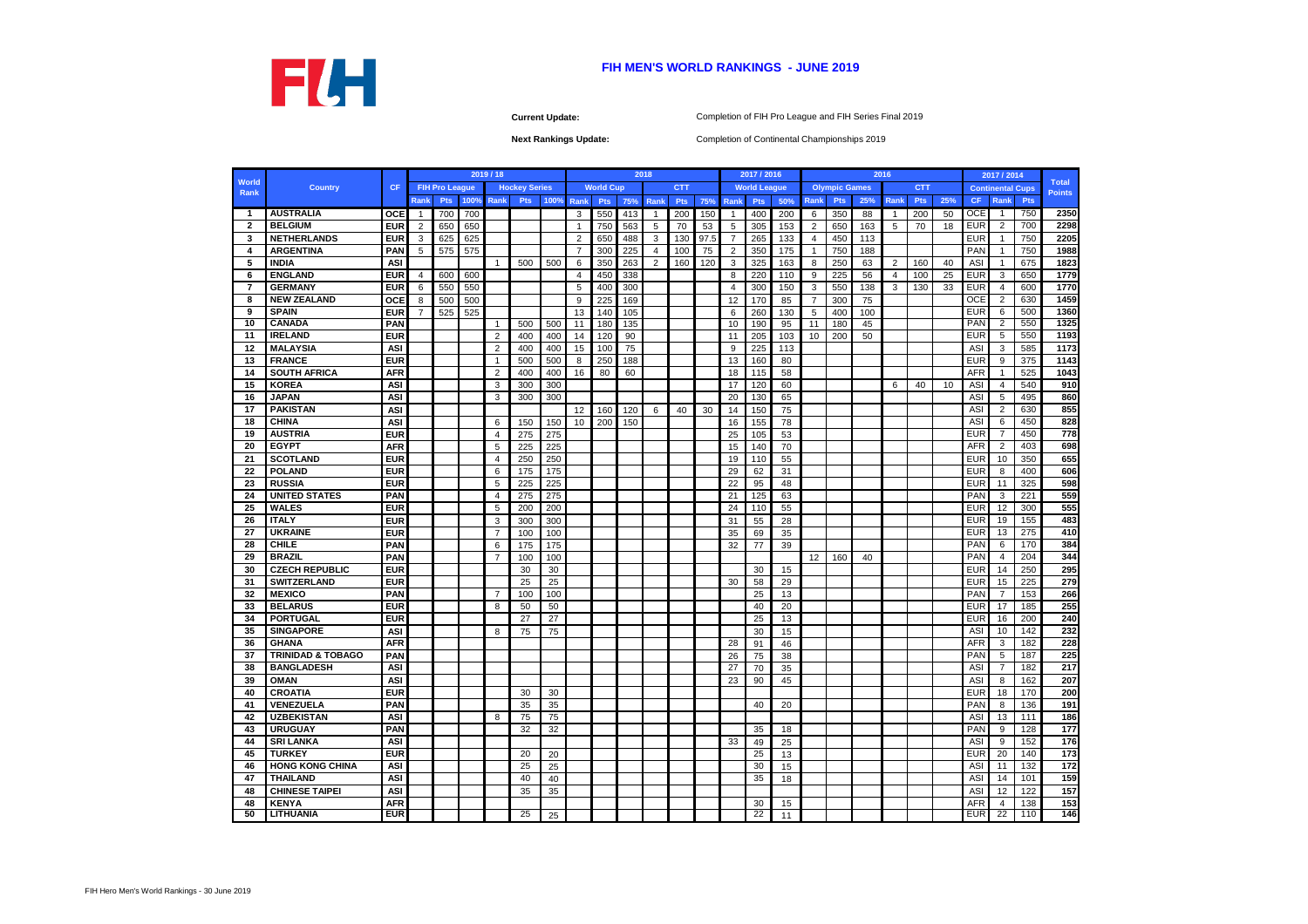**Current Update:**

|              |                              |            |       |                       |      | 2019/18        |                      |            |                   |                  |     | 2018           |            |      |                 | 2017 / 2016         |     |                   |                      |     | 2016           |            |     |            | 2017 / 2014             |                  |               |
|--------------|------------------------------|------------|-------|-----------------------|------|----------------|----------------------|------------|-------------------|------------------|-----|----------------|------------|------|-----------------|---------------------|-----|-------------------|----------------------|-----|----------------|------------|-----|------------|-------------------------|------------------|---------------|
| <b>World</b> | <b>Country</b>               | <b>CF</b>  |       | <b>FIH Pro League</b> |      |                | <b>Hockey Series</b> |            |                   | <b>World Cup</b> |     |                | <b>CTT</b> |      |                 | <b>World League</b> |     |                   | <b>Olympic Games</b> |     |                | <b>CTT</b> |     |            | <b>Continental Cups</b> |                  | <b>Total</b>  |
| Rank         |                              |            | Rankl | <b>Pts</b>            | 100% | Rank           | <b>Pts</b>           | 100%       | Rank              | <b>Pts</b>       | 75% | Rank           | <b>Pts</b> | 75%  | <b>Rank</b>     | <b>Pts</b>          | 50% | Rank              | <b>Pts</b>           | 25% | Rank           | <b>Pts</b> | 25% | CF.        | Rank                    | <b>Pts</b>       | <b>Points</b> |
| - 1          | <b>AUSTRALIA</b>             | <b>OCE</b> | -1    | 700                   | 700  |                |                      |            | 3                 | 550              | 413 | $\overline{1}$ | 200        | 150  | $\mathbf{1}$    | 400                 | 200 | 6                 | 350                  | 88  | $\overline{1}$ | 200        | 50  | <b>OCE</b> | -1                      | 750              | 2350          |
| $\mathbf{2}$ | <b>BELGIUM</b>               | <b>EUR</b> | 2     | 650                   | 650  |                |                      |            |                   | 750              | 563 | 5              | 70         | 53   | 5               | 305                 | 153 | 2                 | 650                  | 163 | 5              | 70         | 18  | <b>EUR</b> | 2                       | 700              | 2298          |
| 3            | <b>NETHERLANDS</b>           | <b>EUR</b> | 3     | 625                   | 625  |                |                      |            | $\overline{2}$    | 650              | 488 | 3              | 130        | 97.5 | $\overline{7}$  | 265                 | 133 | $\overline{4}$    | 450                  | 113 |                |            |     | <b>EUR</b> |                         | 750              | 2205          |
| 4            | <b>ARGENTINA</b>             | <b>PAN</b> | 5     | 575                   | 575  |                |                      |            | 7                 | 300              | 225 | $\overline{4}$ | 100        | 75   | 2               | 350                 | 175 | $\overline{1}$    | 750                  | 188 |                |            |     | <b>PAN</b> |                         | 750              | 1988          |
| 5            | <b>INDIA</b>                 | <b>ASI</b> |       |                       |      | $\overline{1}$ | 500                  | 500        | 6                 | 350              | 263 | 2              | 160        | 120  | 3               | 325                 | 163 | 8                 | 250                  | 63  | $\overline{2}$ | 160        | 40  | <b>ASI</b> |                         | 675              | 1823          |
| 6            | <b>ENGLAND</b>               | <b>EUR</b> | 4     | 600                   | 600  |                |                      |            | 4                 | 450              | 338 |                |            |      | 8               | 220                 | 110 | 9                 | 225                  | 56  | 4              | 100        | 25  | <b>EUR</b> | 3                       | 650              | 1779          |
| -7           | <b>GERMANY</b>               | <b>EUR</b> | 6     | 550                   | 550  |                |                      |            | 5                 | 400              | 300 |                |            |      | $\overline{4}$  | 300                 | 150 | 3                 | 550                  | 138 | 3              | 130        | 33  | <b>EUR</b> | $\overline{4}$          | 600              | 1770          |
| 8            | <b>NEW ZEALAND</b>           | OCE        | 8     | 500                   | 500  |                |                      |            | 9                 | 225              | 169 |                |            |      | 12              | 170                 | 85  | 7                 | 300                  | 75  |                |            |     | <b>OCE</b> | $\overline{2}$          | 630              | 1459          |
| 9            | <b>SPAIN</b>                 | <b>EUR</b> |       | 525                   | 525  |                |                      |            | 13                | 140              | 105 |                |            |      | 6               | 260                 | 130 | 5                 | 400                  | 100 |                |            |     | <b>EUR</b> | 6                       | 500              | 1360          |
| 10           | <b>CANADA</b>                | <b>PAN</b> |       |                       |      | $\overline{1}$ | 500                  | 500        | 11                | 180              | 135 |                |            |      | 10              | 190                 | 95  | 11                | 180                  | 45  |                |            |     | <b>PAN</b> | $\overline{2}$          | 550              | 1325          |
| 11           | <b>IRELAND</b>               | <b>EUR</b> |       |                       |      | $\overline{2}$ | 400                  | 400        | 14                | 120              | 90  |                |            |      | 11              | 205                 | 103 | 10                | 200                  | 50  |                |            |     | <b>EUR</b> | 5                       | 550              | 1193          |
| 12           | <b>MALAYSIA</b>              | <b>ASI</b> |       |                       |      | $\overline{2}$ | 400                  | 400        | 15                | 100              | 75  |                |            |      | 9               | 225                 | 113 |                   |                      |     |                |            |     | ASI        | 3                       | 585              | 1173          |
| 13           | <b>FRANCE</b>                | <b>EUR</b> |       |                       |      | $\overline{1}$ | 500                  | 500        | 8                 | 250              | 188 |                |            |      | 13              | 160                 | 80  |                   |                      |     |                |            |     | <b>EUR</b> | 9                       | 375              | 1143          |
| 14           | <b>SOUTH AFRICA</b>          | <b>AFR</b> |       |                       |      |                |                      |            |                   |                  |     |                |            |      |                 | 115                 | 58  |                   |                      |     |                |            |     | <b>AFR</b> |                         | 525              | 1043          |
| 15           | <b>KOREA</b>                 | <b>ASI</b> |       |                       |      | $\overline{2}$ | 400<br>300           | 400<br>300 | 16                | 80               | 60  |                |            |      | 18              | 120                 | 60  |                   |                      |     |                |            | 10  | <b>ASI</b> | 4                       | 540              | 910           |
|              | <b>JAPAN</b>                 |            |       |                       |      | 3              |                      |            |                   |                  |     |                |            |      | 17              |                     |     |                   |                      |     | 6              | 40         |     | ASI        | 5                       | 495              | 860           |
| 16           |                              | <b>ASI</b> |       |                       |      | 3              | 300                  | 300        |                   |                  |     |                |            |      | 20              | 130                 | 65  |                   |                      |     |                |            |     |            |                         |                  |               |
| 17           | <b>PAKISTAN</b>              | <b>ASI</b> |       |                       |      |                |                      |            | $12 \overline{ }$ | 160              | 120 | 6              | 40         | 30   | 14              | 150                 | 75  |                   |                      |     |                |            |     | ASI        | 2                       | 630              | 855           |
| 18           | <b>CHINA</b>                 | <b>ASI</b> |       |                       |      | 6              | 150                  | 150        | 10                | 200              | 150 |                |            |      | 16              | 155                 | 78  |                   |                      |     |                |            |     | ASI        | 6                       | 450              | 828           |
| 19           | <b>AUSTRIA</b>               | <b>EUR</b> |       |                       |      | 4              | 275                  | 275        |                   |                  |     |                |            |      | 25              | 105                 | 53  |                   |                      |     |                |            |     | <b>EUR</b> | $\overline{7}$          | 450              | 778           |
| 20           | <b>EGYPT</b>                 | <b>AFR</b> |       |                       |      | 5              | 225                  | 225        |                   |                  |     |                |            |      | 15              | 140                 | 70  |                   |                      |     |                |            |     | <b>AFR</b> | $\overline{2}$          | 403              | 698           |
| 21           | <b>SCOTLAND</b>              | <b>EUR</b> |       |                       |      | $\overline{4}$ | 250                  | 250        |                   |                  |     |                |            |      | 19              | 110                 | 55  |                   |                      |     |                |            |     | <b>EUR</b> | 10                      | 350              | 655           |
| 22           | <b>POLAND</b>                | <b>EUR</b> |       |                       |      | 6              | 175                  | 175        |                   |                  |     |                |            |      | 29              | 62                  | 31  |                   |                      |     |                |            |     | <b>EUR</b> | 8                       | 400              | 606           |
| 23           | <b>RUSSIA</b>                | <b>EUR</b> |       |                       |      | 5              | 225                  | 225        |                   |                  |     |                |            |      | 22              | 95                  | 48  |                   |                      |     |                |            |     | <b>EUR</b> | 11                      | 325              | 598           |
| 24           | <b>UNITED STATES</b>         | <b>PAN</b> |       |                       |      | 4              | 275                  | 275        |                   |                  |     |                |            |      | 21              | 125                 | 63  |                   |                      |     |                |            |     | <b>PAN</b> | 3                       | 221              | 559           |
| 25           | <b>WALES</b>                 | <b>EUR</b> |       |                       |      | 5              | 200                  | 200        |                   |                  |     |                |            |      | 24              | 110                 | 55  |                   |                      |     |                |            |     | <b>EUR</b> | 12                      | 300              | 555           |
| 26           | <b>ITALY</b>                 | <b>EUR</b> |       |                       |      | 3              | 300                  | 300        |                   |                  |     |                |            |      | 31              | 55                  | 28  |                   |                      |     |                |            |     | <b>EUR</b> | 19                      | 155              | 483           |
| 27           | <b>UKRAINE</b>               | <b>EUR</b> |       |                       |      | $\overline{7}$ | 100                  | 100        |                   |                  |     |                |            |      | 35              | 69                  | 35  |                   |                      |     |                |            |     | <b>EUR</b> | 13                      | 275              | 410           |
| 28           | <b>CHILE</b>                 | <b>PAN</b> |       |                       |      | 6              | 175                  | 175        |                   |                  |     |                |            |      | 32              | 77                  | 39  |                   |                      |     |                |            |     | PAN        | 6                       | 170              | 384           |
| 29           | <b>BRAZIL</b>                | <b>PAN</b> |       |                       |      | 7              | 100                  | 100        |                   |                  |     |                |            |      |                 |                     |     | $12 \overline{ }$ | 160                  | 40  |                |            |     | <b>PAN</b> | 4                       | 204              | 344           |
| 30           | <b>CZECH REPUBLIC</b>        | <b>EUR</b> |       |                       |      |                | 30                   | 30         |                   |                  |     |                |            |      |                 | 30                  | 15  |                   |                      |     |                |            |     | <b>EUR</b> | 14                      | 250              | 295           |
| 31           | <b>SWITZERLAND</b>           | <b>EUR</b> |       |                       |      |                | 25                   | 25         |                   |                  |     |                |            |      | 30              | 58                  | 29  |                   |                      |     |                |            |     | <b>EUR</b> | 15                      | 225              | 279           |
| 32           | <b>MEXICO</b>                | <b>PAN</b> |       |                       |      | 7              | 100                  | 100        |                   |                  |     |                |            |      |                 | 25                  | 13  |                   |                      |     |                |            |     | <b>PAN</b> | 7                       | 153              | 266           |
| 33           | <b>BELARUS</b>               | <b>EUR</b> |       |                       |      | 8              | 50                   | 50         |                   |                  |     |                |            |      |                 | 40                  | 20  |                   |                      |     |                |            |     | <b>EUR</b> | 17                      | 185              | 255           |
| 34           | <b>PORTUGAL</b>              | <b>EUR</b> |       |                       |      |                | 27                   | 27         |                   |                  |     |                |            |      |                 | 25                  | 13  |                   |                      |     |                |            |     | <b>EUR</b> | 16                      | 200              | 240           |
| 35           | <b>SINGAPORE</b>             | <b>ASI</b> |       |                       |      | 8              | 75                   | 75         |                   |                  |     |                |            |      |                 | 30                  | 15  |                   |                      |     |                |            |     | ASI        | 10                      | 142              | 232           |
| 36           | <b>GHANA</b>                 | <b>AFR</b> |       |                       |      |                |                      |            |                   |                  |     |                |            |      | 28              | 91                  | 46  |                   |                      |     |                |            |     | <b>AFR</b> | 3                       | 182              | 228           |
| 37           | <b>TRINIDAD &amp; TOBAGO</b> | <b>PAN</b> |       |                       |      |                |                      |            |                   |                  |     |                |            |      | 26              | 75                  | 38  |                   |                      |     |                |            |     | <b>PAN</b> | 5                       | 187              | 225           |
| 38           | <b>BANGLADESH</b>            | <b>ASI</b> |       |                       |      |                |                      |            |                   |                  |     |                |            |      | $\overline{27}$ | 70                  | 35  |                   |                      |     |                |            |     | <b>ASI</b> | $\overline{7}$          | $\overline{182}$ | 217           |
| 39           | <b>OMAN</b>                  | <b>ASI</b> |       |                       |      |                |                      |            |                   |                  |     |                |            |      | 23              | 90                  | 45  |                   |                      |     |                |            |     | <b>ASI</b> | 8                       | 162              | 207           |
| 40           | <b>CROATIA</b>               | <b>EUR</b> |       |                       |      |                | 30                   | 30         |                   |                  |     |                |            |      |                 |                     |     |                   |                      |     |                |            |     | <b>EUR</b> | 18                      | 170              | 200           |
| 41           | <b>VENEZUELA</b>             | <b>PAN</b> |       |                       |      |                | 35                   | 35         |                   |                  |     |                |            |      |                 | 40                  | 20  |                   |                      |     |                |            |     | <b>PAN</b> | 8                       | 136              | 191           |
| 42           | <b>UZBEKISTAN</b>            | <b>ASI</b> |       |                       |      | 8              | 75                   | 75         |                   |                  |     |                |            |      |                 |                     |     |                   |                      |     |                |            |     | ASI        | 13                      | 111              | 186           |
| 43           | <b>URUGUAY</b>               | <b>PAN</b> |       |                       |      |                | 32                   | 32         |                   |                  |     |                |            |      |                 | 35                  | 18  |                   |                      |     |                |            |     | <b>PAN</b> | 9                       | 128              | 177           |
| 44           | <b>SRI LANKA</b>             | ASI        |       |                       |      |                |                      |            |                   |                  |     |                |            |      | 33              | 49                  | 25  |                   |                      |     |                |            |     | ASI        | 9                       | 152              | 176           |
|              | <b>TURKEY</b>                | <b>EUR</b> |       |                       |      |                |                      | 20         |                   |                  |     |                |            |      |                 |                     | 13  |                   |                      |     |                |            |     | <b>EUR</b> | 20                      |                  |               |
| 45           |                              |            |       |                       |      |                | 20                   |            |                   |                  |     |                |            |      |                 | 25                  |     |                   |                      |     |                |            |     |            |                         | 140              | 173           |
| 46           | <b>HONG KONG CHINA</b>       | <b>ASI</b> |       |                       |      |                | 25                   | 25         |                   |                  |     |                |            |      |                 | 30                  | 15  |                   |                      |     |                |            |     | <b>ASI</b> | 11                      | 132              | 172           |
| 47           | <b>THAILAND</b>              | <b>ASI</b> |       |                       |      |                | 40                   | 40         |                   |                  |     |                |            |      |                 | 35                  | 18  |                   |                      |     |                |            |     | ASI        | 14                      | 101              | 159           |
| 48           | <b>CHINESE TAIPEI</b>        | <b>ASI</b> |       |                       |      |                | 35                   | 35         |                   |                  |     |                |            |      |                 |                     |     |                   |                      |     |                |            |     | ASI        | 12                      | 122              | 157           |
| 48           | <b>KENYA</b>                 | <b>AFR</b> |       |                       |      |                |                      |            |                   |                  |     |                |            |      |                 | 30                  | 15  |                   |                      |     |                |            |     | <b>AFR</b> | 4                       | 138              | 153           |
| 50           | <b>LITHUANIA</b>             | <b>EUR</b> |       |                       |      |                | 25                   | 25         |                   |                  |     |                |            |      |                 | 22                  | 11  |                   |                      |     |                |            |     | <b>EUR</b> | $\overline{22}$         | 110              | 146           |



# **FIH MEN'S WORLD RANKINGS - JUNE 2019**

Completion of Continental Championships 2019

Completion of FIH Pro League and FIH Series Final 2019

**Next Rankings Update:**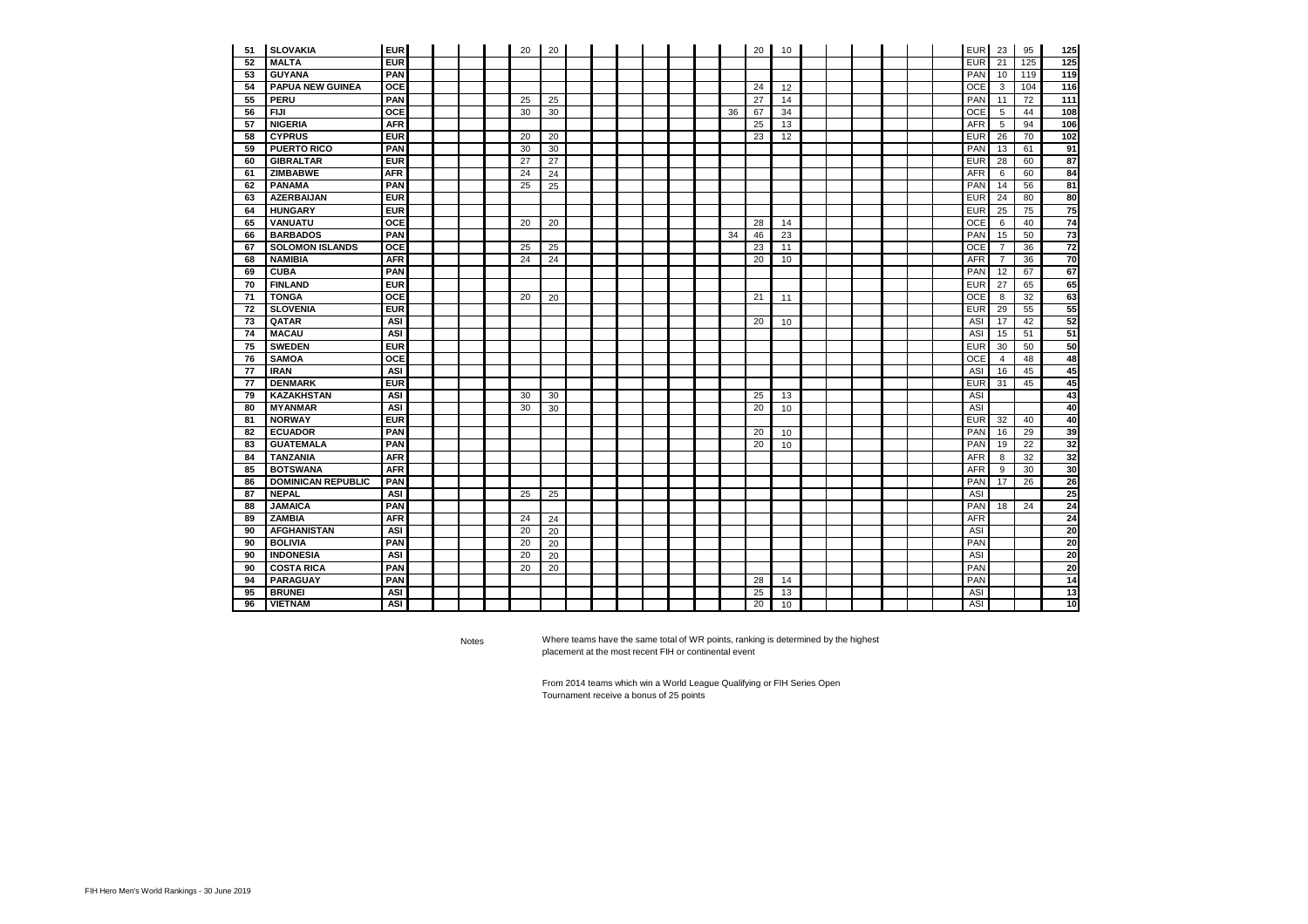| 51 | <b>SLOVAKIA</b>           | <b>EUR</b> |  | 20 | 20 |  |  |  |    | 20 | 10 |  |  |  | <b>EUR</b> | 23             | 95  | 125             |
|----|---------------------------|------------|--|----|----|--|--|--|----|----|----|--|--|--|------------|----------------|-----|-----------------|
| 52 | <b>MALTA</b>              | <b>EUR</b> |  |    |    |  |  |  |    |    |    |  |  |  | <b>EUR</b> | 21             | 125 | 125             |
| 53 | <b>GUYANA</b>             | <b>PAN</b> |  |    |    |  |  |  |    |    |    |  |  |  | PAN        | 10             | 119 | 119             |
| 54 | <b>PAPUA NEW GUINEA</b>   | <b>OCE</b> |  |    |    |  |  |  |    | 24 | 12 |  |  |  | <b>OCE</b> | 3              | 104 | 116             |
| 55 | <b>PERU</b>               | <b>PAN</b> |  | 25 | 25 |  |  |  |    | 27 | 14 |  |  |  | PAN        | 11             | 72  | 111             |
| 56 | <b>FIJI</b>               | <b>OCE</b> |  | 30 | 30 |  |  |  | 36 | 67 | 34 |  |  |  | <b>OCE</b> | 5              | 44  | 108             |
| 57 | <b>NIGERIA</b>            | <b>AFR</b> |  |    |    |  |  |  |    | 25 | 13 |  |  |  | <b>AFR</b> | 5              | 94  | 106             |
| 58 | <b>CYPRUS</b>             | <b>EUR</b> |  | 20 | 20 |  |  |  |    | 23 | 12 |  |  |  | <b>EUR</b> | 26             | 70  | 102             |
| 59 | <b>PUERTO RICO</b>        | <b>PAN</b> |  | 30 | 30 |  |  |  |    |    |    |  |  |  | PAN        | 13             | 61  | 91              |
| 60 | <b>GIBRALTAR</b>          | <b>EUR</b> |  | 27 | 27 |  |  |  |    |    |    |  |  |  | <b>EUR</b> | 28             | 60  | 87              |
| 61 | <b>ZIMBABWE</b>           | <b>AFR</b> |  | 24 | 24 |  |  |  |    |    |    |  |  |  | <b>AFR</b> | 6              | 60  | 84              |
| 62 | <b>PANAMA</b>             | <b>PAN</b> |  | 25 | 25 |  |  |  |    |    |    |  |  |  | PAN        | 14             | 56  | 81              |
| 63 | <b>AZERBAIJAN</b>         | <b>EUR</b> |  |    |    |  |  |  |    |    |    |  |  |  | <b>EUR</b> | 24             | 80  | 80              |
| 64 | <b>HUNGARY</b>            | <b>EUR</b> |  |    |    |  |  |  |    |    |    |  |  |  | <b>EUR</b> | 25             | 75  | 75              |
| 65 | <b>VANUATU</b>            | <b>OCE</b> |  | 20 | 20 |  |  |  |    | 28 | 14 |  |  |  | <b>OCE</b> | 6              | 40  | $\overline{74}$ |
| 66 | <b>BARBADOS</b>           | <b>PAN</b> |  |    |    |  |  |  | 34 | 46 | 23 |  |  |  | <b>PAN</b> | 15             | 50  | $\overline{73}$ |
| 67 | <b>SOLOMON ISLANDS</b>    | <b>OCE</b> |  | 25 | 25 |  |  |  |    | 23 | 11 |  |  |  | <b>OCE</b> | $\overline{7}$ | 36  | 72              |
| 68 | <b>NAMIBIA</b>            | <b>AFR</b> |  | 24 | 24 |  |  |  |    | 20 | 10 |  |  |  | <b>AFR</b> | $\overline{7}$ | 36  | 70              |
| 69 | <b>CUBA</b>               | <b>PAN</b> |  |    |    |  |  |  |    |    |    |  |  |  | PAN        | 12             | 67  | 67              |
| 70 | <b>FINLAND</b>            | <b>EUR</b> |  |    |    |  |  |  |    |    |    |  |  |  | <b>EUR</b> | 27             | 65  | 65              |
| 71 | <b>TONGA</b>              | <b>OCE</b> |  | 20 | 20 |  |  |  |    | 21 | 11 |  |  |  | <b>OCE</b> | 8              | 32  | 63              |
| 72 | <b>SLOVENIA</b>           | <b>EUR</b> |  |    |    |  |  |  |    |    |    |  |  |  | <b>EUR</b> | 29             | 55  | 55              |
| 73 | QATAR                     | <b>ASI</b> |  |    |    |  |  |  |    | 20 | 10 |  |  |  | ASI        | 17             | 42  | 52              |
| 74 | <b>MACAU</b>              | <b>ASI</b> |  |    |    |  |  |  |    |    |    |  |  |  | <b>ASI</b> | 15             | 51  | 51              |
| 75 | <b>SWEDEN</b>             | <b>EUR</b> |  |    |    |  |  |  |    |    |    |  |  |  | <b>EUR</b> | 30             | 50  | 50              |
| 76 | <b>SAMOA</b>              | <b>OCE</b> |  |    |    |  |  |  |    |    |    |  |  |  | <b>OCE</b> | $\overline{4}$ | 48  | 48              |
| 77 | <b>IRAN</b>               | <b>ASI</b> |  |    |    |  |  |  |    |    |    |  |  |  | <b>ASI</b> | 16             | 45  | 45              |
| 77 | <b>DENMARK</b>            | <b>EUR</b> |  |    |    |  |  |  |    |    |    |  |  |  | <b>EUR</b> | 31             | 45  | 45              |
| 79 | <b>KAZAKHSTAN</b>         | <b>ASI</b> |  | 30 | 30 |  |  |  |    | 25 | 13 |  |  |  | <b>ASI</b> |                |     | 43              |
| 80 | <b>MYANMAR</b>            | <b>ASI</b> |  | 30 | 30 |  |  |  |    | 20 | 10 |  |  |  | ASI        |                |     | 40              |
| 81 | <b>NORWAY</b>             | <b>EUR</b> |  |    |    |  |  |  |    |    |    |  |  |  | <b>EUR</b> | 32             | 40  | 40              |
| 82 | <b>ECUADOR</b>            | <b>PAN</b> |  |    |    |  |  |  |    | 20 | 10 |  |  |  | <b>PAN</b> | 16             | 29  | 39              |
| 83 | <b>GUATEMALA</b>          | <b>PAN</b> |  |    |    |  |  |  |    | 20 | 10 |  |  |  | PAN        | 19             | 22  | 32              |
| 84 | <b>TANZANIA</b>           | <b>AFR</b> |  |    |    |  |  |  |    |    |    |  |  |  | <b>AFR</b> | 8              | 32  | 32              |
| 85 | <b>BOTSWANA</b>           | <b>AFR</b> |  |    |    |  |  |  |    |    |    |  |  |  | <b>AFR</b> | 9              | 30  | 30              |
| 86 | <b>DOMINICAN REPUBLIC</b> | <b>PAN</b> |  |    |    |  |  |  |    |    |    |  |  |  | PAN        | 17             | 26  | 26              |
| 87 | <b>NEPAL</b>              | <b>ASI</b> |  | 25 | 25 |  |  |  |    |    |    |  |  |  | <b>ASI</b> |                |     | 25              |
| 88 | <b>JAMAICA</b>            | <b>PAN</b> |  |    |    |  |  |  |    |    |    |  |  |  | PAN        | 18             | 24  | 24              |
| 89 | <b>ZAMBIA</b>             | <b>AFR</b> |  | 24 | 24 |  |  |  |    |    |    |  |  |  | <b>AFR</b> |                |     | 24              |
| 90 | <b>AFGHANISTAN</b>        | <b>ASI</b> |  | 20 | 20 |  |  |  |    |    |    |  |  |  | <b>ASI</b> |                |     | 20              |
| 90 | <b>BOLIVIA</b>            | <b>PAN</b> |  | 20 | 20 |  |  |  |    |    |    |  |  |  | PAN        |                |     | 20              |
| 90 | <b>INDONESIA</b>          | <b>ASI</b> |  | 20 | 20 |  |  |  |    |    |    |  |  |  | <b>ASI</b> |                |     | 20              |
| 90 | <b>COSTA RICA</b>         | <b>PAN</b> |  | 20 | 20 |  |  |  |    |    |    |  |  |  | PAN        |                |     | 20              |
| 94 | <b>PARAGUAY</b>           | <b>PAN</b> |  |    |    |  |  |  |    | 28 | 14 |  |  |  | PAN        |                |     | 14              |
| 95 | <b>BRUNEI</b>             | <b>ASI</b> |  |    |    |  |  |  |    | 25 | 13 |  |  |  | <b>ASI</b> |                |     | 13              |
| 96 | <b>VIETNAM</b>            | <b>ASI</b> |  |    |    |  |  |  |    | 20 | 10 |  |  |  | <b>ASI</b> |                |     | 10              |

Notes Where teams have the same total of WR points, ranking is determined by the highest placement at the most recent FIH or continental event

> From 2014 teams which win a World League Qualifying or FIH Series Open Tournament receive a bonus of 25 points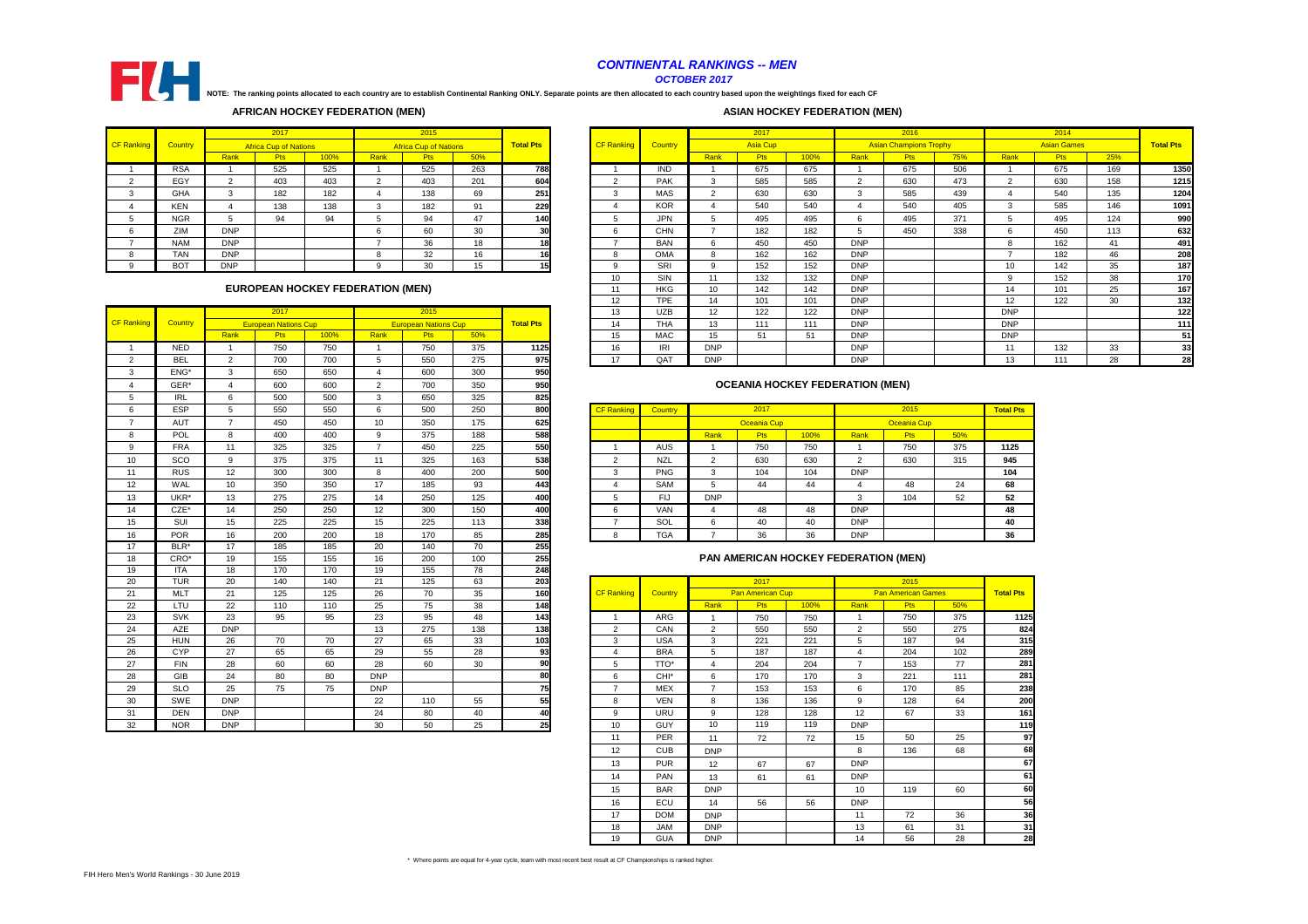|        |                |            | 2017                                    |      |      | 2015<br><b>Africa Cup of Nations</b> |     |                  |                   |            |                 | 2017            |      |            | 2016                          |     |                   | 2014               |     |                  |
|--------|----------------|------------|-----------------------------------------|------|------|--------------------------------------|-----|------------------|-------------------|------------|-----------------|-----------------|------|------------|-------------------------------|-----|-------------------|--------------------|-----|------------------|
| anking | <b>Country</b> |            | <b>Africa Cup of Nations</b>            |      |      |                                      |     | <b>Total Pts</b> | <b>CF Ranking</b> | Country    |                 | <b>Asia Cup</b> |      |            | <b>Asian Champions Trophy</b> |     |                   | <b>Asian Games</b> |     | <b>Total Pts</b> |
|        |                | Rank       | <b>Pts</b>                              | 100% | Rank | <b>Pts</b>                           | 50% |                  |                   |            | Rank            | <b>Pts</b>      | 100% | Rank       | <b>Pts</b>                    | 75% | Rank              | <b>Pts</b>         | 25% |                  |
|        | <b>RSA</b>     |            | 525                                     | 525  |      | 525                                  | 263 | 788              |                   | <b>IND</b> |                 | 675             | 675  |            | 675                           | 506 |                   | 675                | 169 | 1350             |
|        | EGY            | $\sim$     | 403                                     | 403  |      | 403                                  | 201 | 604              | ົ<br>∠            | <b>PAK</b> | $\sim$          | 585             | 585  | ົ          | 630                           | 473 | $\sim$            | 630                | 158 | 1215             |
|        | <b>GHA</b>     |            | 182                                     | 182  |      | 138                                  | 69  | 251              | 3                 | MAS        | $\sim$          | 630             | 630  | ્ર         | 585                           | 439 |                   | 540                | 135 | 1204             |
|        | <b>KEN</b>     |            | 138                                     | 138  |      | 182                                  | 91  | 229              |                   | <b>KOR</b> |                 | 540             | 540  |            | 540                           | 405 |                   | 585                | 146 | 1091             |
|        | <b>NGR</b>     |            | 94                                      | 94   |      | 94                                   | 47  | 140              |                   | <b>JPN</b> |                 | 495             | 495  |            | 495                           | 371 |                   | 495                | 124 | 990              |
|        | ZIM            | <b>DNP</b> |                                         |      |      | 60                                   | 30  | 30               |                   | <b>CHN</b> |                 | 182             | 182  |            | 450                           | 338 |                   | 450                | 113 | 632              |
|        | <b>NAM</b>     | <b>DNP</b> |                                         |      |      | 36                                   | 18  | 18               |                   | <b>BAN</b> | ĥ               | 450             | 450  | <b>DNP</b> |                               |     |                   | 162                | 41  | 491              |
|        | <b>TAN</b>     | <b>DNP</b> |                                         |      |      | 32                                   | 16  | 16               | 8                 | <b>OMA</b> |                 | 162             | 162  | <b>DNP</b> |                               |     | $\rightarrow$     | 182                | 46  | 208              |
|        | <b>BOT</b>     | <b>DNP</b> |                                         |      |      | 30                                   | 15  |                  | 9                 | SRI        | 9               | 152             | 152  | <b>DNP</b> |                               |     | 10                | 142                | 35  | 187              |
|        |                |            |                                         |      |      |                                      |     |                  | 10                | SIN        | 11              | 132             | 132  | <b>DNP</b> |                               |     |                   | 152                | 38  | 170              |
|        |                |            | <b>EUROPEAN HOCKEY FEDERATION (MEN)</b> |      |      |                                      |     |                  | 11                | <b>HKG</b> | 10              | 142             | 142  | <b>DNP</b> |                               |     | 14                | 101                | 25  | 167              |
|        |                |            |                                         |      |      |                                      |     |                  | $12 \overline{ }$ | <b>TPE</b> | 14              | 101             | 101  | <b>DNP</b> |                               |     | $12 \overline{ }$ | 122                | 30  | 132              |
|        |                |            | 2017                                    |      |      | 2015                                 |     |                  | 13                | <b>UZB</b> | 12 <sup>2</sup> | 122             | 122  | <b>DNP</b> |                               |     | <b>DNP</b>        |                    |     | 122              |
| anking | <b>Country</b> |            | <b>European Nations Cup</b>             |      |      | <b>European Nations Cup</b>          |     | <b>Total Pts</b> | 14                | <b>THA</b> | 13              | 111             | 111  | <b>DNP</b> |                               |     | <b>DNP</b>        |                    |     | 111              |
|        |                | Rank       | <b>Pts</b>                              | 100% | Rank | <b>Pts</b>                           | 50% |                  | 15                | <b>MAC</b> | 15              | 51              | 51   | <b>DNP</b> |                               |     | <b>DNP</b>        |                    |     | 51               |
|        | <b>NED</b>     |            | 750                                     | 750  |      | 750                                  | 375 | 1125             | 16                | IRI        | <b>DNP</b>      |                 |      | <b>DNP</b> |                               |     | 11                | 132                | 33  | 33               |
|        | <b>BEL</b>     |            | 700                                     | 700  |      | 550                                  | 275 | 975              | 17                | QAT        | <b>DNP</b>      |                 |      | <b>DNP</b> |                               |     | 13                | 111                | 28  | 28               |

|                   |                  |                 | 2017                        |      |                | 2015                        |                 |                  | 13                | <b>UZB</b>       | 12             | 122                     | 122  | <b>DNP</b>                             |                           |     | <b>DNP</b>     |
|-------------------|------------------|-----------------|-----------------------------|------|----------------|-----------------------------|-----------------|------------------|-------------------|------------------|----------------|-------------------------|------|----------------------------------------|---------------------------|-----|----------------|
| <b>CF Ranking</b> | Country          |                 | <b>European Nations Cup</b> |      |                | <b>European Nations Cup</b> |                 | <b>Total Pts</b> | 14                | <b>THA</b>       | 13             | 111                     | 111  | <b>DNP</b>                             |                           |     | <b>DNP</b>     |
|                   |                  | Rank            | Pts                         | 100% | Rank           | <b>Pts</b>                  | 50%             |                  | 15                | <b>MAC</b>       | 15             | 51                      | 51   | <b>DNP</b>                             |                           |     | <b>DNP</b>     |
| -1                | <b>NED</b>       | $\overline{1}$  | 750                         | 750  | $\mathbf{1}$   | 750                         | 375             | 1125             | 16                | IRI              | <b>DNP</b>     |                         |      | <b>DNP</b>                             |                           |     | 11             |
| $\overline{2}$    | <b>BEL</b>       | 2               | 700                         | 700  | 5              | 550                         | 275             | 975              | 17                | QAT              | <b>DNP</b>     |                         |      | <b>DNP</b>                             |                           |     | 13             |
| 3                 | ENG <sup>*</sup> | $\mathbf{3}$    | 650                         | 650  | $\overline{4}$ | 600                         | 300             | 950              |                   |                  |                |                         |      |                                        |                           |     |                |
| 4                 | GER*             | $\overline{4}$  | 600                         | 600  | $\overline{2}$ | 700                         | 350             | 950              |                   |                  |                |                         |      | <b>OCEANIA HOCKEY FEDERATION (MEN)</b> |                           |     |                |
| 5                 | <b>IRL</b>       | 6               | 500                         | 500  | 3              | 650                         | 325             | 825              |                   |                  |                |                         |      |                                        |                           |     |                |
| 6                 | ESP              | $\sqrt{5}$      | 550                         | 550  | 6              | 500                         | 250             | 800              | <b>CF Ranking</b> | Country          |                | 2017                    |      |                                        | 2015                      |     | <b>Total P</b> |
| $\overline{7}$    | <b>AUT</b>       | $\overline{7}$  | 450                         | 450  | 10             | 350                         | 175             | 625              |                   |                  |                | <b>Oceania Cup</b>      |      |                                        | <b>Oceania Cup</b>        |     |                |
| 8                 | POL              | 8               | 400                         | 400  | 9              | 375                         | 188             | 588              |                   |                  | Rank           | Pts                     | 100% | Rank                                   | Pts                       | 50% |                |
| 9                 | <b>FRA</b>       | 11              | 325                         | 325  | $\overline{7}$ | 450                         | 225             | 550              | -1                | <b>AUS</b>       | $\overline{1}$ | 750                     | 750  | - 1                                    | 750                       | 375 | 1125           |
| 10                | SCO              | 9               | 375                         | 375  | 11             | 325                         | 163             | 538              | 2                 | <b>NZL</b>       | 2              | 630                     | 630  | 2                                      | 630                       | 315 | 945            |
| 11                | <b>RUS</b>       | 12              | 300                         | 300  | 8              | 400                         | 200             | 500              | 3                 | <b>PNG</b>       | 3              | 104                     | 104  | <b>DNP</b>                             |                           |     | 104            |
| 12                | WAL              | 10              | 350                         | 350  | 17             | 185                         | 93              | 443              | $\overline{4}$    | <b>SAM</b>       | 5              | 44                      | 44   | $\overline{4}$                         | 48                        | 24  | 68             |
| 13                | UKR <sup>*</sup> | 13              | 275                         | 275  | 14             | 250                         | 125             | 400              | 5                 | <b>FIJ</b>       | <b>DNP</b>     |                         |      | 3                                      | 104                       | 52  | 52             |
| 14                | $CZE^*$          | 14              | 250                         | 250  | 12             | 300                         | 150             | 400              | 6                 | <b>VAN</b>       | $\overline{4}$ | 48                      | 48   | <b>DNP</b>                             |                           |     | 48             |
| 15                | SUI              | 15              | 225                         | 225  | 15             | 225                         | 113             | 338              | $\overline{7}$    | SOL              | 6              | 40                      | 40   | <b>DNP</b>                             |                           |     | 40             |
| 16                | POR              | 16              | 200                         | 200  | 18             | 170                         | 85              | 285              | 8                 | <b>TGA</b>       | $\overline{7}$ | 36                      | 36   | <b>DNP</b>                             |                           |     | 36             |
| 17                | BLR*             | 17              | 185                         | 185  | 20             | 140                         | 70              | 255              |                   |                  |                |                         |      |                                        |                           |     |                |
| 18                | CRO*             | 19              | 155                         | 155  | 16             | 200                         | 100             | 255              |                   |                  |                |                         |      | PAN AMERICAN HOCKEY FEDERATION (MEN)   |                           |     |                |
| 19                | <b>ITA</b>       | 18              | 170                         | 170  | 19             | 155                         | $\overline{78}$ | 248              |                   |                  |                |                         |      |                                        |                           |     |                |
| 20                | <b>TUR</b>       | $\overline{20}$ | 140                         | 140  | 21             | 125                         | 63              | 203              |                   |                  |                | 2017                    |      |                                        | 2015                      |     |                |
| 21                | <b>MLT</b>       | 21              | 125                         | 125  | 26             | 70                          | 35              | 160              | <b>CF Ranking</b> | Country          |                | <b>Pan American Cup</b> |      |                                        | <b>Pan American Games</b> |     | <b>Total P</b> |
| 22                | LTU              | 22              | 110                         | 110  | 25             | 75                          | $\overline{38}$ | 148              |                   |                  | Rank           | <b>Pts</b>              | 100% | Rank                                   | Pts                       | 50% |                |
| 23                | <b>SVK</b>       | 23              | 95                          | 95   | 23             | 95                          | 48              | 143              | -1                | ARG              | -1             | 750                     | 750  | -1                                     | 750                       | 375 |                |
| 24                | AZE              | <b>DNP</b>      |                             |      | 13             | 275                         | $\frac{1}{38}$  | 138              | 2                 | CAN              | $\overline{2}$ | 550                     | 550  | 2                                      | 550                       | 275 |                |
| 25                | <b>HUN</b>       | 26              | $70\,$                      | 70   | $27\,$         | 65                          | 33              | 103              | 3                 | <b>USA</b>       | 3              | 221                     | 221  | 5                                      | 187                       | 94  |                |
| 26                | <b>CYP</b>       | $\overline{27}$ | 65                          | 65   | 29             | 55                          | 28              | 93               | $\overline{4}$    | <b>BRA</b>       | 5              | 187                     | 187  | $\overline{4}$                         | 204                       | 102 |                |
| 27                | <b>FIN</b>       | 28              | 60                          | 60   | 28             | 60                          | 30              | 90               | 5                 | TTO*             | $\overline{4}$ | 204                     | 204  | $\overline{7}$                         | 153                       | 77  |                |
| 28                | <b>GIB</b>       | 24              | 80                          | 80   | <b>DNP</b>     |                             |                 | 80               | 6                 | CHI <sup>*</sup> | 6              | 170                     | 170  | 3                                      | 221                       | 111 |                |
| 29                | <b>SLO</b>       | 25              | 75                          | 75   | <b>DNP</b>     |                             |                 | 75               | $\overline{7}$    | <b>MEX</b>       | $\overline{7}$ | 153                     | 153  | 6                                      | 170                       | 85  |                |
| 30                | <b>SWE</b>       | <b>DNP</b>      |                             |      | 22             | 110                         | 55              | 55               | 8                 | <b>VEN</b>       | 8              | 136                     | 136  | 9                                      | 128                       | 64  |                |
| 31                | <b>DEN</b>       | <b>DNP</b>      |                             |      | 24             | 80                          | 40              | 40               | 9                 | URU              | 9              | 128                     | 128  | 12                                     | 67                        | 33  |                |
| 32                | <b>NOR</b>       | <b>DNP</b>      |                             |      | 30             | 50                          | 25              | 25               | 10                | <b>GUY</b>       | 10             | 119                     | 119  | <b>DNP</b>                             |                           |     |                |

| $\cdots$   | $\tilde{\phantom{a}}$ | $\sim$ | $\sim$ | $\tilde{\phantom{a}}$ | ູ   | ິ   | $- -$ |                   |                |              |                    |      |            |                    |     |                  |
|------------|-----------------------|--------|--------|-----------------------|-----|-----|-------|-------------------|----------------|--------------|--------------------|------|------------|--------------------|-----|------------------|
| <b>ESP</b> |                       | 550    | 550    | O                     | 500 | 250 | 800   | <b>CF Ranking</b> | <b>Country</b> |              | 2017               |      |            | 2015               |     | <b>Total Pts</b> |
| <b>AUT</b> |                       | 450    | 450    | 10                    | 350 | 175 | 625   |                   |                |              | <b>Oceania Cup</b> |      |            | <b>Oceania Cup</b> |     |                  |
| <b>POL</b> |                       | 400    | 400    | 9                     | 375 | 188 | 588   |                   |                | Rank         | <b>Pts</b>         | 100% | Rank       | <b>Pts</b>         | 50% |                  |
| <b>FRA</b> | 11                    | 325    | 325    |                       | 450 | 225 | 550   |                   | AUS            |              | 750                | 750  |            | 750                | 375 | 1125             |
| SCO        |                       | 375    | 375    |                       | 325 | 163 | 538   |                   | <b>NZL</b>     | <u>_</u>     | 630                | 630  |            | 630                | 315 | 945              |
| <b>RUS</b> | $12 \overline{ }$     | 300    | 300    | o                     | 400 | 200 | 500   |                   | <b>PNG</b>     | $\sim$<br>د. | 104                | 104  | <b>DNP</b> |                    |     | 104              |
| WAL        | 10                    | 350    | 350    | 17                    | 185 | 93  | 443   |                   | <b>SAM</b>     | IJ           | 44                 | 44   |            | 48                 | 24  | 68               |
| UKR*       | 13                    | 275    | 275    | 14                    | 250 | 125 | 400   |                   | FIJ            | <b>DNP</b>   |                    |      |            | 104                | 52  | 52               |
| CZE*       | 14                    | 250    | 250    | 12                    | 300 | 150 | 400   |                   | <b>VAN</b>     |              | 48                 | 48   | <b>DNP</b> |                    |     | 48               |
| <b>SUI</b> | 15                    | 225    | 225    | 15                    | 225 | 113 | 338   |                   | SOL            | 6            | 40                 | 40   | <b>DNP</b> |                    |     | 40               |
| <b>POR</b> | 16                    | 200    | 200    | 18                    | 170 | 85  | 285   |                   | <b>TGA</b>     |              | 36                 | 36   | <b>DNP</b> |                    |     | 36               |
|            |                       |        |        |                       |     |     |       |                   |                |              |                    |      |            |                    |     |                  |

\* Where points are equal for 4-year cycle, team with most recent best result at CF Championships is ranked higher.

|    | .          | $\cdot$ $\cdot$ | .   | .   | .          | .   | $\cdot$ $\sim$ | .   |                   |                |                |                         |      |                |                           |     |                  |
|----|------------|-----------------|-----|-----|------------|-----|----------------|-----|-------------------|----------------|----------------|-------------------------|------|----------------|---------------------------|-----|------------------|
| 20 | <b>TUR</b> | 20              | 140 | 140 | 21         | 125 | 63             | 203 |                   |                |                | 2017                    |      |                | 2015                      |     |                  |
| 21 | <b>MLT</b> | 21              | 125 | 125 | 26         | 70  | 35             | 160 | <b>CF Ranking</b> | <b>Country</b> |                | <b>Pan American Cup</b> |      |                | <b>Pan American Games</b> |     | <b>Total Pts</b> |
| 22 | LTU        | 22              | 110 | 110 | 25         | 75  | 38             | 148 |                   |                | Rank           | <b>Pts</b>              | 100% | Rank           | Pts                       | 50% |                  |
| 23 | <b>SVK</b> | 23              | 95  | 95  | 23         | 95  | 48             | 143 |                   | ARG            |                | 750                     | 750  |                | 750                       | 375 | 1125             |
| 24 | AZE        | <b>DNP</b>      |     |     | 13         | 275 | 138            | 138 | $\overline{2}$    | CAN            | $\overline{2}$ | 550                     | 550  | 2              | 550                       | 275 | 824              |
| 25 | <b>HUN</b> | 26              | 70  | 70  | 27         | 65  | 33             | 103 | 3                 | <b>USA</b>     | 3              | 221                     | 221  | 5              | 187                       | 94  | 315              |
| 26 | <b>CYP</b> | 27              | 65  | 65  | 29         | 55  | 28             | 93  | $\overline{4}$    | <b>BRA</b>     | 5              | 187                     | 187  | 4              | 204                       | 102 | 289              |
| 27 | <b>FIN</b> | 28              | 60  | 60  | 28         | 60  | 30             | 90  | 5                 | TTO*           | $\overline{4}$ | 204                     | 204  | $\overline{7}$ | 153                       | 77  | 281              |
| 28 | <b>GIB</b> | 24              | 80  | 80  | <b>DNP</b> |     |                | 80  | 6                 | CHI*           | 6              | 170                     | 170  | 3              | 221                       | 111 | 281              |
| 29 | <b>SLO</b> | 25              | 75  | 75  | <b>DNP</b> |     |                | 75  | $\overline{7}$    | <b>MEX</b>     | $\overline{7}$ | 153                     | 153  | 6              | 170                       | 85  | 238              |
| 30 | SWE        | <b>DNP</b>      |     |     | 22         | 110 | 55             | 55  | 8                 | <b>VEN</b>     | 8              | 136                     | 136  | 9              | 128                       | 64  | 200              |
| 31 | <b>DEN</b> | <b>DNP</b>      |     |     | 24         | 80  | 40             | 40  | 9                 | URU            | 9              | 128                     | 128  | 12             | 67                        | 33  | 161              |
| 32 | <b>NOR</b> | <b>DNP</b>      |     |     | 30         | 50  | 25             | 25  | 10                | <b>GUY</b>     | 10             | 119                     | 119  | <b>DNP</b>     |                           |     | 119              |
|    |            |                 |     |     |            |     |                |     | 11                | <b>PER</b>     | 11             | 72                      | 72   | 15             | 50                        | 25  | 97               |
|    |            |                 |     |     |            |     |                |     | 12                | <b>CUB</b>     | <b>DNP</b>     |                         |      | 8              | 136                       | 68  | 68               |
|    |            |                 |     |     |            |     |                |     | 13                | <b>PUR</b>     | 12             | 67                      | 67   | <b>DNP</b>     |                           |     | 67               |
|    |            |                 |     |     |            |     |                |     | 14                | <b>PAN</b>     | 13             | 61                      | 61   | <b>DNP</b>     |                           |     | 61               |
|    |            |                 |     |     |            |     |                |     | 15                | <b>BAR</b>     | <b>DNP</b>     |                         |      | 10             | 119                       | 60  | 60               |
|    |            |                 |     |     |            |     |                |     | 16                | ECU            | 14             | 56                      | 56   | <b>DNP</b>     |                           |     | 56               |
|    |            |                 |     |     |            |     |                |     | 17                | <b>DOM</b>     | <b>DNP</b>     |                         |      | 11             | 72                        | 36  | 36               |
|    |            |                 |     |     |            |     |                |     | 18                | <b>JAM</b>     | <b>DNP</b>     |                         |      | 13             | 61                        | 31  | 31               |
|    |            |                 |     |     |            |     |                |     | 19                | <b>GUA</b>     | <b>DNP</b>     |                         |      | 14             | 56                        | 28  | 28               |
|    |            |                 |     |     |            |     |                |     |                   |                |                |                         |      |                |                           |     |                  |

**NOTE: The ranking points allocated to each country are to establish Continental Ranking ONLY. Separate points are then allocated to each country based upon the weightings fixed for each CF** 

## **OCEANIA HOCKEY FEDERATION (MEN)**

#### **EUROPEAN HOCKEY FEDERATION (MEN)**

### **AFRICAN HOCKEY FEDERATION (MEN)**

|                   |                |            | 2017                         |      |      | 2015                         |     |                  |                   |                |        | 2017       |
|-------------------|----------------|------------|------------------------------|------|------|------------------------------|-----|------------------|-------------------|----------------|--------|------------|
| <b>CF Ranking</b> | <b>Country</b> |            | <b>Africa Cup of Nations</b> |      |      | <b>Africa Cup of Nations</b> |     | <b>Total Pts</b> | <b>CF Ranking</b> | <b>Country</b> |        | Asia C     |
|                   |                | Rank       | <b>Pts</b>                   | 100% | Rank | <b>Pts</b>                   | 50% |                  |                   |                | Rank   | <b>Pts</b> |
|                   | <b>RSA</b>     |            | 525                          | 525  |      | 525                          | 263 | 788I             |                   | <b>IND</b>     |        | 675        |
|                   | EGY            | ⌒          | 403                          | 403  | 2    | 403                          | 201 | 604              | 2                 | <b>PAK</b>     | 3      | 585        |
|                   | <b>GHA</b>     | 3          | 182                          | 182  | 4    | 138                          | 69  | 251              | 3                 | <b>MAS</b>     | ົ<br>∠ | 630        |
|                   | <b>KEN</b>     |            | 138                          | 138  | 3    | 182                          | 91  | <b>229</b>       | 4                 | <b>KOR</b>     |        | 540        |
| 5                 | <b>NGR</b>     | 5          | 94                           | 94   | 5    | 94                           | 47  | 140I             | 5                 | <b>JPN</b>     | 5      | 495        |
|                   | ZIM            | <b>DNP</b> |                              |      | 6    | 60                           | 30  | 30               | 6                 | <b>CHN</b>     |        | 182        |
|                   | <b>NAM</b>     | <b>DNP</b> |                              |      |      | 36                           | 18  | 18               |                   | <b>BAN</b>     | 6      | 450        |
| 8                 | TAN            | <b>DNP</b> |                              |      | 8    | 32                           | 16  | 16               | 8                 | <b>OMA</b>     | 8      | 162        |
|                   | <b>BOT</b>     | <b>DNP</b> |                              |      | 9    | 30                           | 15  | 15               | 9                 | <b>SRI</b>     | 9      | 152        |



#### *CONTINENTAL RANKINGS -- MEN OCTOBER 2017*

#### **ASIAN HOCKEY FEDERATION (MEN)**

# **PAN AMERICAN HOCKEY FEDERATION (MEN)**